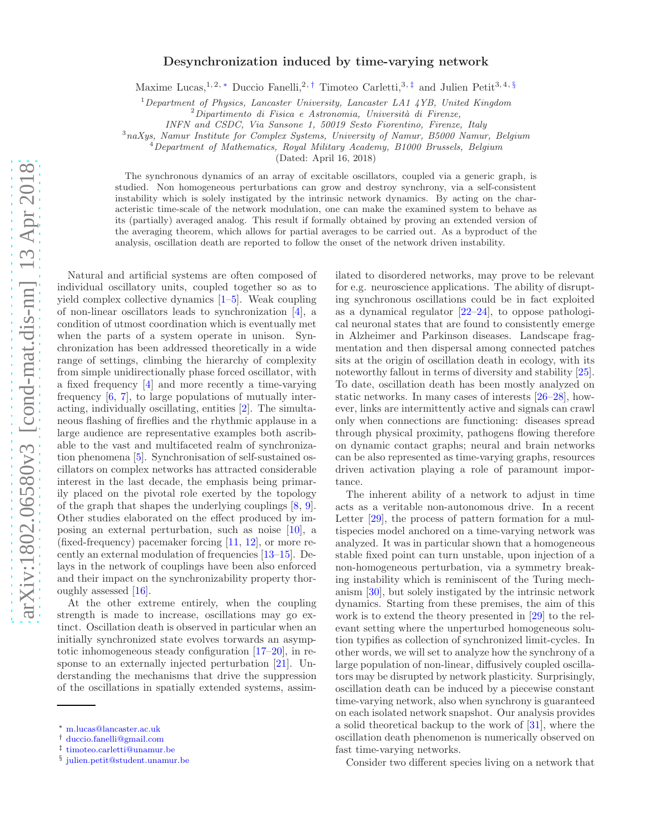## Desynchronization induced by time-varying network

Maxime Lucas,<sup>1, 2, \*</sup> Duccio Fanelli,<sup>2,[†](#page-0-1)</sup> Timoteo Carletti,<sup>3,[‡](#page-0-2)</sup> and Julien Petit<sup>3, 4, [§](#page-0-3)</sup>

<sup>1</sup>Department of Physics, Lancaster University, Lancaster LA1 4YB, United Kingdom

INFN and CSDC, Via Sansone 1, 50019 Sesto Fiorentino, Firenze, Italy

<sup>3</sup>naXys, Namur Institute for Complex Systems, University of Namur, B5000 Namur, Belgium

 $^{4}$ Department of Mathematics, Royal Military Academy, B1000 Brussels, Belgium

(Dated: April 16, 2018)

The synchronous dynamics of an array of excitable oscillators, coupled via a generic graph, is studied. Non homogeneous perturbations can grow and destroy synchrony, via a self-consistent instability which is solely instigated by the intrinsic network dynamics. By acting on the characteristic time-scale of the network modulation, one can make the examined system to behave as its (partially) averaged analog. This result if formally obtained by proving an extended version of the averaging theorem, which allows for partial averages to be carried out. As a byproduct of the analysis, oscillation death are reported to follow the onset of the network driven instability.

Natural and artificial systems are often composed of individual oscillatory units, coupled together so as to yield complex collective dynamics [\[1](#page-5-0)[–5\]](#page-5-1). Weak coupling of non-linear oscillators leads to synchronization [\[4\]](#page-5-2), a condition of utmost coordination which is eventually met when the parts of a system operate in unison. Synchronization has been addressed theoretically in a wide range of settings, climbing the hierarchy of complexity from simple unidirectionally phase forced oscillator, with a fixed frequency [\[4\]](#page-5-2) and more recently a time-varying frequency [\[6,](#page-6-0) [7](#page-6-1)], to large populations of mutually interacting, individually oscillating, entities [\[2\]](#page-5-3). The simultaneous flashing of fireflies and the rhythmic applause in a large audience are representative examples both ascribable to the vast and multifaceted realm of synchronization phenomena [\[5\]](#page-5-1). Synchronisation of self-sustained oscillators on complex networks has attracted considerable interest in the last decade, the emphasis being primarily placed on the pivotal role exerted by the topology of the graph that shapes the underlying couplings [\[8](#page-6-2), [9\]](#page-6-3). Other studies elaborated on the effect produced by imposing an external perturbation, such as noise [\[10](#page-6-4)], a (fixed-frequency) pacemaker forcing [\[11,](#page-6-5) [12\]](#page-6-6), or more recently an external modulation of frequencies [\[13](#page-6-7)[–15\]](#page-6-8). Delays in the network of couplings have been also enforced and their impact on the synchronizability property thoroughly assessed [\[16\]](#page-6-9).

At the other extreme entirely, when the coupling strength is made to increase, oscillations may go extinct. Oscillation death is observed in particular when an initially synchronized state evolves torwards an asymptotic inhomogeneous steady configuration [\[17](#page-6-10)[–20\]](#page-6-11), in response to an externally injected perturbation [\[21\]](#page-6-12). Understanding the mechanisms that drive the suppression of the oscillations in spatially extended systems, assimilated to disordered networks, may prove to be relevant for e.g. neuroscience applications. The ability of disrupting synchronous oscillations could be in fact exploited as a dynamical regulator [\[22](#page-6-13)[–24\]](#page-6-14), to oppose pathological neuronal states that are found to consistently emerge in Alzheimer and Parkinson diseases. Landscape fragmentation and then dispersal among connected patches sits at the origin of oscillation death in ecology, with its noteworthy fallout in terms of diversity and stability [\[25\]](#page-6-15). To date, oscillation death has been mostly analyzed on static networks. In many cases of interests [\[26](#page-6-16)[–28\]](#page-6-17), however, links are intermittently active and signals can crawl only when connections are functioning: diseases spread through physical proximity, pathogens flowing therefore on dynamic contact graphs; neural and brain networks can be also represented as time-varying graphs, resources driven activation playing a role of paramount importance.

The inherent ability of a network to adjust in time acts as a veritable non-autonomous drive. In a recent Letter [\[29\]](#page-6-18), the process of pattern formation for a multispecies model anchored on a time-varying network was analyzed. It was in particular shown that a homogeneous stable fixed point can turn unstable, upon injection of a non-homogeneous perturbation, via a symmetry breaking instability which is reminiscent of the Turing mechanism [\[30\]](#page-6-19), but solely instigated by the intrinsic network dynamics. Starting from these premises, the aim of this work is to extend the theory presented in [\[29\]](#page-6-18) to the relevant setting where the unperturbed homogeneous solution typifies as collection of synchronized limit-cycles. In other words, we will set to analyze how the synchrony of a large population of non-linear, diffusively coupled oscillators may be disrupted by network plasticity. Surprisingly, oscillation death can be induced by a piecewise constant time-varying network, also when synchrony is guaranteed on each isolated network snapshot. Our analysis provides a solid theoretical backup to the work of [\[31\]](#page-6-20), where the oscillation death phenomenon is numerically observed on fast time-varying networks.

Consider two different species living on a network that

 $^{2}$ Dipartimento di Fisica e Astronomia, Università di Firenze,

<span id="page-0-0"></span><sup>∗</sup> [m.lucas@lancaster.ac.uk](mailto:m.lucas@lancaster.ac.uk)

<span id="page-0-1"></span><sup>†</sup> [duccio.fanelli@gmail.com](mailto:duccio.fanelli@gmail.com)

<span id="page-0-2"></span><sup>‡</sup> [timoteo.carletti@unamur.be](mailto:timoteo.carletti@unamur.be)

<span id="page-0-3"></span><sup>§</sup> [julien.petit@student.unamur.be](mailto:julien.petit@student.unamur.be)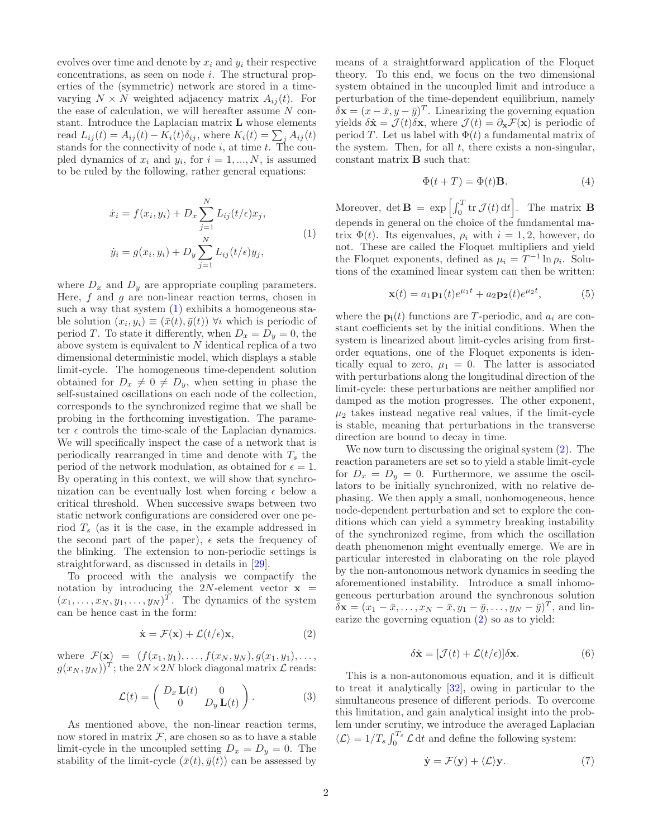evolves over time and denote by  $x_i$  and  $y_i$  their respective concentrations, as seen on node i. The structural properties of the (symmetric) network are stored in a timevarying  $N \times N$  weighted adjacency matrix  $A_{ij}(t)$ . For the ease of calculation, we will hereafter assume  $N$  constant. Introduce the Laplacian matrix L whose elements read  $L_{ij}(t) = A_{ij}(t) - K_i(t)\delta_{ij}$ , where  $K_i(t) = \sum_j A_{ij}(t)$ stands for the connectivity of node  $i$ , at time  $t$ . The coupled dynamics of  $x_i$  and  $y_i$ , for  $i = 1, ..., N$ , is assumed to be ruled by the following, rather general equations:

<span id="page-1-0"></span>
$$
\dot{x}_i = f(x_i, y_i) + D_x \sum_{j=1}^{N} L_{ij}(t/\epsilon) x_j,
$$
  
\n
$$
\dot{y}_i = g(x_i, y_i) + D_y \sum_{j=1}^{N} L_{ij}(t/\epsilon) y_j,
$$
\n(1)

where  $D_x$  and  $D_y$  are appropriate coupling parameters. Here,  $f$  and  $g$  are non-linear reaction terms, chosen in such a way that system  $(1)$  exhibits a homogeneous stable solution  $(x_i, y_i) \equiv (\bar{x}(t), \bar{y}(t))$   $\forall i$  which is periodic of period T. To state it differently, when  $D_x = D_y = 0$ , the above system is equivalent to  $N$  identical replica of a two dimensional deterministic model, which displays a stable limit-cycle. The homogeneous time-dependent solution obtained for  $D_x \neq 0 \neq D_y$ , when setting in phase the self-sustained oscillations on each node of the collection, corresponds to the synchronized regime that we shall be probing in the forthcoming investigation. The parameter  $\epsilon$  controls the time-scale of the Laplacian dynamics. We will specifically inspect the case of a network that is periodically rearranged in time and denote with  $T_s$  the period of the network modulation, as obtained for  $\epsilon = 1$ . By operating in this context, we will show that synchronization can be eventually lost when forcing  $\epsilon$  below a critical threshold. When successive swaps between two static network configurations are considered over one period  $T_s$  (as it is the case, in the example addressed in the second part of the paper),  $\epsilon$  sets the frequency of the blinking. The extension to non-periodic settings is straightforward, as discussed in details in [\[29](#page-6-18)].

To proceed with the analysis we compactify the notation by introducing the 2N-element vector  $x =$  $(x_1, \ldots, x_N, y_1, \ldots, y_N)^T$ . The dynamics of the system can be hence cast in the form:

<span id="page-1-1"></span>
$$
\dot{\mathbf{x}} = \mathcal{F}(\mathbf{x}) + \mathcal{L}(t/\epsilon)\mathbf{x},\tag{2}
$$

where  $\mathcal{F}(\mathbf{x}) = (f(x_1, y_1), \dots, f(x_N, y_N), g(x_1, y_1), \dots,$  $g(x_N, y_N))^T$ ; the  $2N \times 2N$  block diagonal matrix  $\mathcal L$  reads:

$$
\mathcal{L}(t) = \begin{pmatrix} D_x \mathbf{L}(t) & 0 \\ 0 & D_y \mathbf{L}(t) \end{pmatrix}.
$$
 (3)

As mentioned above, the non-linear reaction terms, now stored in matrix  $F$ , are chosen so as to have a stable limit-cycle in the uncoupled setting  $D_x = D_y = 0$ . The stability of the limit-cycle  $(\bar{x}(t), \bar{y}(t))$  can be assessed by

means of a straightforward application of the Floquet theory. To this end, we focus on the two dimensional system obtained in the uncoupled limit and introduce a perturbation of the time-dependent equilibrium, namely  $\delta \mathbf{x} = (x - \bar{x}, y - \bar{y})^T$ . Linearizing the governing equation yields  $\delta \dot{\mathbf{x}} = \mathcal{J}(t)\delta \mathbf{x}$ , where  $\mathcal{J}(t) = \partial_{\mathbf{x}} \mathcal{F}(\mathbf{x})$  is periodic of period T. Let us label with  $\Phi(t)$  a fundamental matrix of the system. Then, for all  $t$ , there exists a non-singular, constant matrix B such that:

$$
\Phi(t+T) = \Phi(t)\mathbf{B}.\tag{4}
$$

Moreover, det  $\mathbf{B} = \exp \left[ \int_0^T \text{tr} \, \mathcal{J}(t) \, \text{d}t \right]$ . The matrix **B** depends in general on the choice of the fundamental matrix  $\Phi(t)$ . Its eigenvalues,  $\rho_i$  with  $i = 1, 2$ , however, do not. These are called the Floquet multipliers and yield the Floquet exponents, defined as  $\mu_i = T^{-1} \ln \rho_i$ . Solutions of the examined linear system can then be written:

$$
\mathbf{x}(t) = a_1 \mathbf{p_1}(t) e^{\mu_1 t} + a_2 \mathbf{p_2}(t) e^{\mu_2 t}, \tag{5}
$$

where the  $p_i(t)$  functions are T-periodic, and  $a_i$  are constant coefficients set by the initial conditions. When the system is linearized about limit-cycles arising from firstorder equations, one of the Floquet exponents is identically equal to zero,  $\mu_1 = 0$ . The latter is associated with perturbations along the longitudinal direction of the limit-cycle: these perturbations are neither amplified nor damped as the motion progresses. The other exponent,  $\mu_2$  takes instead negative real values, if the limit-cycle is stable, meaning that perturbations in the transverse direction are bound to decay in time.

We now turn to discussing the original system [\(2\)](#page-1-1). The reaction parameters are set so to yield a stable limit-cycle for  $D_x = D_y = 0$ . Furthermore, we assume the oscillators to be initially synchronized, with no relative dephasing. We then apply a small, nonhomogeneous, hence node-dependent perturbation and set to explore the conditions which can yield a symmetry breaking instability of the synchronized regime, from which the oscillation death phenomenon might eventually emerge. We are in particular interested in elaborating on the role played by the non-autonomous network dynamics in seeding the aforementioned instability. Introduce a small inhomogeneous perturbation around the synchronous solution  $\delta {\bf x} = (x_1 - \bar{x}, \dots, x_N - \bar{x}, y_1 - \bar{y}, \dots, y_N - \bar{y})^T$ , and linearize the governing equation [\(2\)](#page-1-1) so as to yield:

<span id="page-1-3"></span>
$$
\delta \dot{\mathbf{x}} = [\mathcal{J}(t) + \mathcal{L}(t/\epsilon)] \delta \mathbf{x}.
$$
 (6)

This is a non-autonomous equation, and it is difficult to treat it analytically [\[32\]](#page-6-21), owing in particular to the simultaneous presence of different periods. To overcome this limitation, and gain analytical insight into the problem under scrutiny, we introduce the averaged Laplacian  $\langle \mathcal{L} \rangle = 1/T_s \int_0^{T_s} \mathcal{L} dt$  and define the following system:

<span id="page-1-2"></span>
$$
\dot{\mathbf{y}} = \mathcal{F}(\mathbf{y}) + \langle \mathcal{L} \rangle \mathbf{y}.\tag{7}
$$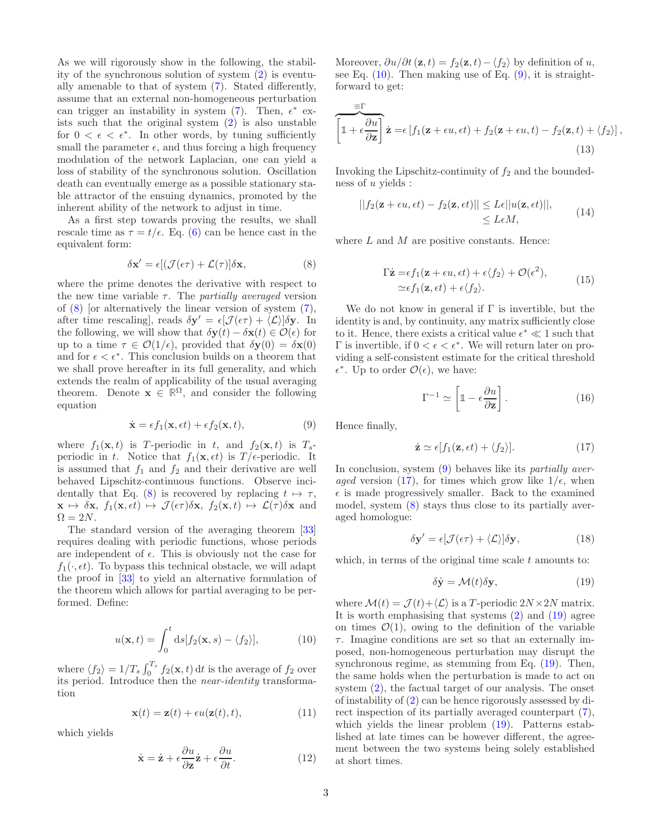As we will rigorously show in the following, the stability of the synchronous solution of system [\(2\)](#page-1-1) is eventually amenable to that of system [\(7\)](#page-1-2). Stated differently, assume that an external non-homogeneous perturbation can trigger an instability in system  $(7)$ . Then,  $\epsilon^*$  exists such that the original system [\(2\)](#page-1-1) is also unstable for  $0 < \epsilon < \epsilon^*$ . In other words, by tuning sufficiently small the parameter  $\epsilon$ , and thus forcing a high frequency modulation of the network Laplacian, one can yield a loss of stability of the synchronous solution. Oscillation death can eventually emerge as a possible stationary stable attractor of the ensuing dynamics, promoted by the inherent ability of the network to adjust in time.

As a first step towards proving the results, we shall rescale time as  $\tau = t/\epsilon$ . Eq. [\(6\)](#page-1-3) can be hence cast in the equivalent form:

<span id="page-2-0"></span>
$$
\delta \mathbf{x}' = \epsilon [(\mathcal{J}(\epsilon \tau) + \mathcal{L}(\tau)] \delta \mathbf{x}, \qquad (8)
$$

where the prime denotes the derivative with respect to the new time variable  $\tau$ . The *partially averaged* version of  $(8)$  [or alternatively the linear version of system  $(7)$ , after time rescaling], reads  $\delta \mathbf{y}' = \epsilon [\mathcal{J}(\epsilon \tau) + \langle \mathcal{L} \rangle] \delta \mathbf{y}$ . In the following, we will show that  $\delta \mathbf{y}(t) - \delta \mathbf{x}(t) \in \mathcal{O}(\epsilon)$  for up to a time  $\tau \in \mathcal{O}(1/\epsilon)$ , provided that  $\delta y(0) = \delta x(0)$ and for  $\epsilon < \epsilon^*$ . This conclusion builds on a theorem that we shall prove hereafter in its full generality, and which extends the realm of applicability of the usual averaging theorem. Denote  $\mathbf{x} \in \mathbb{R}^{\Omega}$ , and consider the following equation

<span id="page-2-2"></span>
$$
\dot{\mathbf{x}} = \epsilon f_1(\mathbf{x}, \epsilon t) + \epsilon f_2(\mathbf{x}, t), \tag{9}
$$

where  $f_1(\mathbf{x}, t)$  is T-periodic in t, and  $f_2(\mathbf{x}, t)$  is  $T_s$ periodic in t. Notice that  $f_1(\mathbf{x}, \epsilon t)$  is  $T/\epsilon$ -periodic. It is assumed that  $f_1$  and  $f_2$  and their derivative are well behaved Lipschitz-continuous functions. Observe inci-dentally that Eq. [\(8\)](#page-2-0) is recovered by replacing  $t \mapsto \tau$ ,  $\mathbf{x} \mapsto \delta \mathbf{x}, f_1(\mathbf{x}, \epsilon t) \mapsto \mathcal{J}(\epsilon \tau) \delta \mathbf{x}, f_2(\mathbf{x}, t) \mapsto \mathcal{L}(\tau) \delta \mathbf{x}$  and  $\Omega = 2N$ .

The standard version of the averaging theorem [\[33](#page-6-22)] requires dealing with periodic functions, whose periods are independent of  $\epsilon$ . This is obviously not the case for  $f_1(\cdot, \epsilon t)$ . To bypass this technical obstacle, we will adapt the proof in [\[33\]](#page-6-22) to yield an alternative formulation of the theorem which allows for partial averaging to be performed. Define:

<span id="page-2-1"></span>
$$
u(\mathbf{x},t) = \int_0^t ds [f_2(\mathbf{x},s) - \langle f_2 \rangle], \tag{10}
$$

where  $\langle f_2 \rangle = 1/T_s \int_0^{T_s} f_2(\mathbf{x}, t) dt$  is the average of  $f_2$  over its period. Introduce then the near-identity transformation

$$
\mathbf{x}(t) = \mathbf{z}(t) + \epsilon u(\mathbf{z}(t), t), \tag{11}
$$

which yields

$$
\dot{\mathbf{x}} = \dot{\mathbf{z}} + \epsilon \frac{\partial u}{\partial \mathbf{z}} \dot{\mathbf{z}} + \epsilon \frac{\partial u}{\partial t}.
$$
 (12)

Moreover,  $\partial u/\partial t(\mathbf{z}, t) = f_2(\mathbf{z}, t) - \langle f_2 \rangle$  by definition of u, see Eq.  $(10)$ . Then making use of Eq.  $(9)$ , it is straightforward to get:

$$
\widehat{\left[\mathbb{1} + \epsilon \frac{\partial u}{\partial \mathbf{z}}\right]} \mathbf{\dot{z}} = \epsilon \left[f_1(\mathbf{z} + \epsilon u, \epsilon t) + f_2(\mathbf{z} + \epsilon u, t) - f_2(\mathbf{z}, t) + \langle f_2 \rangle\right],
$$
\n(13)

Invoking the Lipschitz-continuity of  $f_2$  and the boundedness of  $u$  yields :

$$
||f_2(\mathbf{z} + \epsilon u, \epsilon t) - f_2(\mathbf{z}, \epsilon t)|| \leq L\epsilon ||u(\mathbf{z}, \epsilon t)||,
$$
  
\n
$$
\leq L\epsilon M,
$$
\n(14)

where  $L$  and  $M$  are positive constants. Hence:

$$
\Gamma \dot{\mathbf{z}} = \epsilon f_1(\mathbf{z} + \epsilon u, \epsilon t) + \epsilon \langle f_2 \rangle + \mathcal{O}(\epsilon^2),
$$
  
\n
$$
\simeq \epsilon f_1(\mathbf{z}, \epsilon t) + \epsilon \langle f_2 \rangle.
$$
 (15)

We do not know in general if  $\Gamma$  is invertible, but the identity is and, by continuity, any matrix sufficiently close to it. Hence, there exists a critical value  $\epsilon^* \ll 1$  such that  $\Gamma$  is invertible, if  $0 < \epsilon < \epsilon^*$ . We will return later on providing a self-consistent estimate for the critical threshold  $\epsilon^*$ . Up to order  $\mathcal{O}(\epsilon)$ , we have:

$$
\Gamma^{-1} \simeq \left[ \mathbb{1} - \epsilon \frac{\partial u}{\partial \mathbf{z}} \right]. \tag{16}
$$

Hence finally,

≡Γ

<span id="page-2-3"></span>
$$
\dot{\mathbf{z}} \simeq \epsilon[f_1(\mathbf{z}, \epsilon t) + \langle f_2 \rangle]. \tag{17}
$$

In conclusion, system  $(9)$  behaves like its *partially aver*-aged version [\(17\)](#page-2-3), for times which grow like  $1/\epsilon$ , when  $\epsilon$  is made progressively smaller. Back to the examined model, system [\(8\)](#page-2-0) stays thus close to its partially averaged homologue:

$$
\delta \mathbf{y}' = \epsilon [\mathcal{J}(\epsilon \tau) + \langle \mathcal{L} \rangle] \delta \mathbf{y}, \tag{18}
$$

which, in terms of the original time scale  $t$  amounts to:

<span id="page-2-4"></span>
$$
\delta \dot{\mathbf{y}} = \mathcal{M}(t) \delta \mathbf{y},\tag{19}
$$

where  $\mathcal{M}(t) = \mathcal{J}(t) + \langle \mathcal{L} \rangle$  is a T-periodic  $2N \times 2N$  matrix. It is worth emphasising that systems [\(2\)](#page-1-1) and [\(19\)](#page-2-4) agree on times  $\mathcal{O}(1)$ , owing to the definition of the variable  $\tau$ . Imagine conditions are set so that an externally imposed, non-homogeneous perturbation may disrupt the synchronous regime, as stemming from Eq. [\(19\)](#page-2-4). Then, the same holds when the perturbation is made to act on system [\(2\)](#page-1-1), the factual target of our analysis. The onset of instability of [\(2\)](#page-1-1) can be hence rigorously assessed by direct inspection of its partially averaged counterpart [\(7\)](#page-1-2), which yields the linear problem [\(19\)](#page-2-4). Patterns established at late times can be however different, the agreement between the two systems being solely established at short times.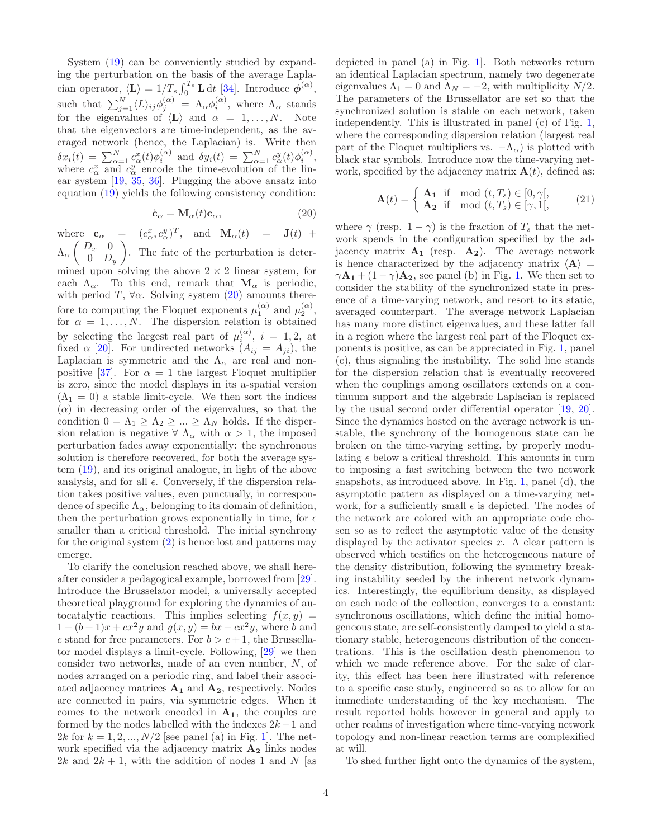System [\(19\)](#page-2-4) can be conveniently studied by expanding the perturbation on the basis of the average Laplacian operator,  $\langle \mathbf{L} \rangle = 1/T_s \int_0^{T_s} \mathbf{L} dt$  [\[34\]](#page-6-23). Introduce  $\phi^{(\alpha)}$ , such that  $\sum_{j=1}^{N} \langle L \rangle_{ij} \phi_j^{(\alpha)} = \Lambda_\alpha \phi_i^{(\alpha)}$ , where  $\Lambda_\alpha$  stands for the eigenvalues of  $\langle L \rangle$  and  $\alpha = 1, \ldots, N$ . Note that the eigenvectors are time-independent, as the averaged network (hence, the Laplacian) is. Write then  $\delta x_i(t) = \sum_{\alpha=1}^N c_\alpha^x(t) \phi_i^{(\alpha)}$  and  $\delta y_i(t) = \sum_{\alpha=1}^N c_\alpha^y(t) \phi_i^{(\alpha)}$ , where  $c_{\alpha}^{x}$  and  $c_{\alpha}^{y}$  encode the time-evolution of the linear system [\[19,](#page-6-24) [35](#page-6-25), [36\]](#page-6-26). Plugging the above ansatz into equation [\(19\)](#page-2-4) yields the following consistency condition:

<span id="page-3-0"></span>
$$
\dot{\mathbf{c}}_{\alpha} = \mathbf{M}_{\alpha}(t)\mathbf{c}_{\alpha},\tag{20}
$$

where  $\mathbf{c}_{\alpha} = (c_{\alpha}^x, c_{\alpha}^y)^T$ , and  $\mathbf{M}_{\alpha}(t) = \mathbf{J}(t) +$  $\Lambda_{\alpha} \left( \begin{array}{cc} D_x & 0 \\ 0 & D \end{array} \right)$  $0$   $D_y$  . The fate of the perturbation is determined upon solving the above  $2 \times 2$  linear system, for each  $\Lambda_{\alpha}$ . To this end, remark that  $\mathbf{M}_{\alpha}$  is periodic, with period T,  $\forall \alpha$ . Solving system [\(20\)](#page-3-0) amounts therefore to computing the Floquet exponents  $\mu_1^{(\alpha)}$  and  $\mu_2^{(\alpha)}$ , for  $\alpha = 1, \ldots, N$ . The dispersion relation is obtained by selecting the largest real part of  $\mu_i^{(\alpha)}$ ,  $i = 1, 2$ , at fixed  $\alpha$  [\[20](#page-6-11)]. For undirected networks  $(A_{ij} = A_{ji})$ , the Laplacian is symmetric and the  $\Lambda_{\alpha}$  are real and non-positive [\[37\]](#page-6-27). For  $\alpha = 1$  the largest Floquet multiplier is zero, since the model displays in its a-spatial version  $(\Lambda_1 = 0)$  a stable limit-cycle. We then sort the indices  $(\alpha)$  in decreasing order of the eigenvalues, so that the condition  $0 = \Lambda_1 \geq \Lambda_2 \geq ... \geq \Lambda_N$  holds. If the dispersion relation is negative  $\forall \Lambda_{\alpha}$  with  $\alpha > 1$ , the imposed perturbation fades away exponentially: the synchronous solution is therefore recovered, for both the average system [\(19\)](#page-2-4), and its original analogue, in light of the above analysis, and for all  $\epsilon$ . Conversely, if the dispersion relation takes positive values, even punctually, in correspondence of specific  $\Lambda_{\alpha}$ , belonging to its domain of definition, then the perturbation grows exponentially in time, for  $\epsilon$ smaller than a critical threshold. The initial synchrony for the original system  $(2)$  is hence lost and patterns may emerge.

To clarify the conclusion reached above, we shall hereafter consider a pedagogical example, borrowed from [\[29\]](#page-6-18). Introduce the Brusselator model, a universally accepted theoretical playground for exploring the dynamics of autocatalytic reactions. This implies selecting  $f(x, y) =$  $1 - (b+1)x + cx^2y$  and  $g(x, y) = bx - cx^2y$ , where b and c stand for free parameters. For  $b > c + 1$ , the Brussellator model displays a limit-cycle. Following, [\[29\]](#page-6-18) we then consider two networks, made of an even number, N, of nodes arranged on a periodic ring, and label their associated adjacency matrices  $A_1$  and  $A_2$ , respectively. Nodes are connected in pairs, via symmetric edges. When it comes to the network encoded in  $A_1$ , the couples are formed by the nodes labelled with the indexes  $2k-1$  and 2k for  $k = 1, 2, ..., N/2$  [see panel (a) in Fig. [1\]](#page-4-0). The network specified via the adjacency matrix  $A_2$  links nodes 2k and  $2k + 1$ , with the addition of nodes 1 and N [as

depicted in panel (a) in Fig. [1\]](#page-4-0). Both networks return an identical Laplacian spectrum, namely two degenerate eigenvalues  $\Lambda_1 = 0$  and  $\Lambda_N = -2$ , with multiplicity  $N/2$ . The parameters of the Brussellator are set so that the synchronized solution is stable on each network, taken independently. This is illustrated in panel (c) of Fig. [1,](#page-4-0) where the corresponding dispersion relation (largest real part of the Floquet multipliers vs.  $-\Lambda_{\alpha}$ ) is plotted with black star symbols. Introduce now the time-varying network, specified by the adjacency matrix  $\mathbf{A}(t)$ , defined as:

$$
\mathbf{A}(t) = \begin{cases} \mathbf{A_1} & \text{if } \mod(t, T_s) \in [0, \gamma[, \\ \mathbf{A_2} & \text{if } \mod(t, T_s) \in [\gamma, 1[, \end{cases} \tag{21}
$$

where  $\gamma$  (resp.  $1 - \gamma$ ) is the fraction of  $T_s$  that the network spends in the configuration specified by the adjacency matrix  $A_1$  (resp.  $A_2$ ). The average network is hence characterized by the adjacency matrix  $\langle A \rangle$  =  $\gamma \mathbf{A_1} + (1 - \gamma) \mathbf{A_2}$ , see panel (b) in Fig. [1.](#page-4-0) We then set to consider the stability of the synchronized state in presence of a time-varying network, and resort to its static, averaged counterpart. The average network Laplacian has many more distinct eigenvalues, and these latter fall in a region where the largest real part of the Floquet exponents is positive, as can be appreciated in Fig. [1,](#page-4-0) panel (c), thus signaling the instability. The solid line stands for the dispersion relation that is eventually recovered when the couplings among oscillators extends on a continuum support and the algebraic Laplacian is replaced by the usual second order differential operator [\[19,](#page-6-24) [20\]](#page-6-11). Since the dynamics hosted on the average network is unstable, the synchrony of the homogenous state can be broken on the time-varying setting, by properly modulating  $\epsilon$  below a critical threshold. This amounts in turn to imposing a fast switching between the two network snapshots, as introduced above. In Fig. [1,](#page-4-0) panel (d), the asymptotic pattern as displayed on a time-varying network, for a sufficiently small  $\epsilon$  is depicted. The nodes of the network are colored with an appropriate code chosen so as to reflect the asymptotic value of the density displayed by the activator species  $x$ . A clear pattern is observed which testifies on the heterogeneous nature of the density distribution, following the symmetry breaking instability seeded by the inherent network dynamics. Interestingly, the equilibrium density, as displayed on each node of the collection, converges to a constant: synchronous oscillations, which define the initial homogeneous state, are self-consistently damped to yield a stationary stable, heterogeneous distribution of the concentrations. This is the oscillation death phenomenon to which we made reference above. For the sake of clarity, this effect has been here illustrated with reference to a specific case study, engineered so as to allow for an immediate understanding of the key mechanism. The result reported holds however in general and apply to other realms of investigation where time-varying network topology and non-linear reaction terms are complexified at will.

To shed further light onto the dynamics of the system,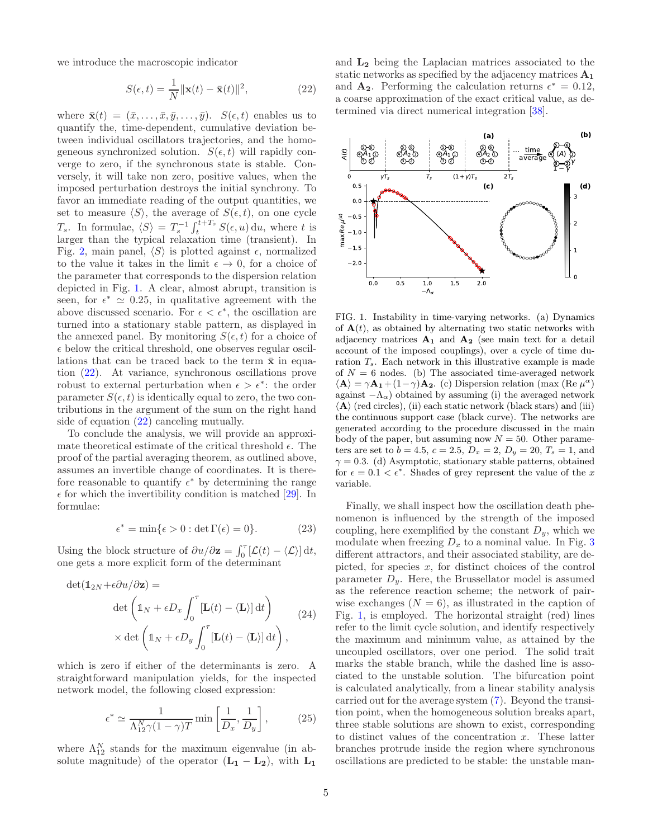we introduce the macroscopic indicator

<span id="page-4-1"></span>
$$
S(\epsilon, t) = \frac{1}{N} ||\mathbf{x}(t) - \bar{\mathbf{x}}(t)||^2,
$$
\n(22)

where  $\bar{\mathbf{x}}(t) = (\bar{x}, \dots, \bar{x}, \bar{y}, \dots, \bar{y})$ .  $S(\epsilon, t)$  enables us to quantify the, time-dependent, cumulative deviation between individual oscillators trajectories, and the homogeneous synchronized solution.  $S(\epsilon, t)$  will rapidly converge to zero, if the synchronous state is stable. Conversely, it will take non zero, positive values, when the imposed perturbation destroys the initial synchrony. To favor an immediate reading of the output quantities, we set to measure  $\langle S \rangle$ , the average of  $S(\epsilon, t)$ , on one cycle  $T_s$ . In formulae,  $\langle S \rangle = T_s^{-1} \int_t^{t+T_s} S(\epsilon, u) \, du$ , where t is larger than the typical relaxation time (transient). In Fig. [2,](#page-5-4) main panel,  $\langle S \rangle$  is plotted against  $\epsilon$ , normalized to the value it takes in the limit  $\epsilon \to 0$ , for a choice of the parameter that corresponds to the dispersion relation depicted in Fig. [1.](#page-4-0) A clear, almost abrupt, transition is seen, for  $\epsilon^* \simeq 0.25$ , in qualitative agreement with the above discussed scenario. For  $\epsilon < \epsilon^*$ , the oscillation are turned into a stationary stable pattern, as displayed in the annexed panel. By monitoring  $S(\epsilon, t)$  for a choice of  $\epsilon$  below the critical threshold, one observes regular oscillations that can be traced back to the term  $\bar{x}$  in equation [\(22\)](#page-4-1). At variance, synchronous oscillations prove robust to external perturbation when  $\epsilon > \epsilon^*$ : the order parameter  $S(\epsilon, t)$  is identically equal to zero, the two contributions in the argument of the sum on the right hand side of equation [\(22\)](#page-4-1) canceling mutually.

To conclude the analysis, we will provide an approximate theoretical estimate of the critical threshold  $\epsilon$ . The proof of the partial averaging theorem, as outlined above, assumes an invertible change of coordinates. It is therefore reasonable to quantify  $\epsilon^*$  by determining the range  $\epsilon$  for which the invertibility condition is matched [\[29](#page-6-18)]. In formulae:

$$
\epsilon^* = \min\{\epsilon > 0 : \det \Gamma(\epsilon) = 0\}.
$$
 (23)

Using the block structure of  $\partial u / \partial z = \int_0^\tau [\mathcal{L}(t) - \langle \mathcal{L} \rangle] dt$ , one gets a more explicit form of the determinant

$$
\det(\mathbb{1}_{2N} + \epsilon \partial u / \partial \mathbf{z}) =
$$

$$
\det\left(\mathbb{1}_N + \epsilon D_x \int_0^\tau [\mathbf{L}(t) - \langle \mathbf{L} \rangle] dt\right)
$$

$$
\times \det\left(\mathbb{1}_N + \epsilon D_y \int_0^\tau [\mathbf{L}(t) - \langle \mathbf{L} \rangle] dt\right),
$$
(24)

which is zero if either of the determinants is zero. A straightforward manipulation yields, for the inspected network model, the following closed expression:

$$
\epsilon^* \simeq \frac{1}{\Lambda_{12}^N \gamma (1 - \gamma) T} \min \left[ \frac{1}{D_x}, \frac{1}{D_y} \right],\tag{25}
$$

where  $\Lambda_{12}^N$  stands for the maximum eigenvalue (in absolute magnitude) of the operator  $(L_1 - L_2)$ , with  $L_1$ 

and L<sup>2</sup> being the Laplacian matrices associated to the static networks as specified by the adjacency matrices  $A_1$ and  $\mathbf{A_2}$ . Performing the calculation returns  $\epsilon^* = 0.12$ , a coarse approximation of the exact critical value, as determined via direct numerical integration [\[38\]](#page-6-28).



<span id="page-4-0"></span>FIG. 1. Instability in time-varying networks. (a) Dynamics of  $A(t)$ , as obtained by alternating two static networks with adjacency matrices  $A_1$  and  $A_2$  (see main text for a detail account of the imposed couplings), over a cycle of time duration  $T_s$ . Each network in this illustrative example is made of  $N = 6$  nodes. (b) The associated time-averaged network  $\langle \mathbf{A} \rangle = \gamma \mathbf{A_1} + (1 - \gamma) \mathbf{A_2}$ . (c) Dispersion relation (max (Re  $\mu^{\alpha}$ ) against  $-\Lambda_{\alpha}$ ) obtained by assuming (i) the averaged network  $\langle A \rangle$  (red circles), (ii) each static network (black stars) and (iii) the continuous support case (black curve). The networks are generated according to the procedure discussed in the main body of the paper, but assuming now  $N = 50$ . Other parameters are set to  $b = 4.5$ ,  $c = 2.5$ ,  $D_x = 2$ ,  $D_y = 20$ ,  $T_s = 1$ , and  $\gamma = 0.3$ . (d) Asymptotic, stationary stable patterns, obtained for  $\epsilon = 0.1 < \epsilon^*$ . Shades of grey represent the value of the x variable.

Finally, we shall inspect how the oscillation death phenomenon is influenced by the strength of the imposed coupling, here exemplified by the constant  $D_y$ , which we modulate when freezing  $D_x$  to a nominal value. In Fig. [3](#page-5-5) different attractors, and their associated stability, are depicted, for species  $x$ , for distinct choices of the control parameter  $D_y$ . Here, the Brussellator model is assumed as the reference reaction scheme; the network of pairwise exchanges  $(N = 6)$ , as illustrated in the caption of Fig. [1,](#page-4-0) is employed. The horizontal straight (red) lines refer to the limit cycle solution, and identify respectively the maximum and minimum value, as attained by the uncoupled oscillators, over one period. The solid trait marks the stable branch, while the dashed line is associated to the unstable solution. The bifurcation point is calculated analytically, from a linear stability analysis carried out for the average system [\(7\)](#page-1-2). Beyond the transition point, when the homogeneous solution breaks apart, three stable solutions are shown to exist, corresponding to distinct values of the concentration  $x$ . These latter branches protrude inside the region where synchronous oscillations are predicted to be stable: the unstable man-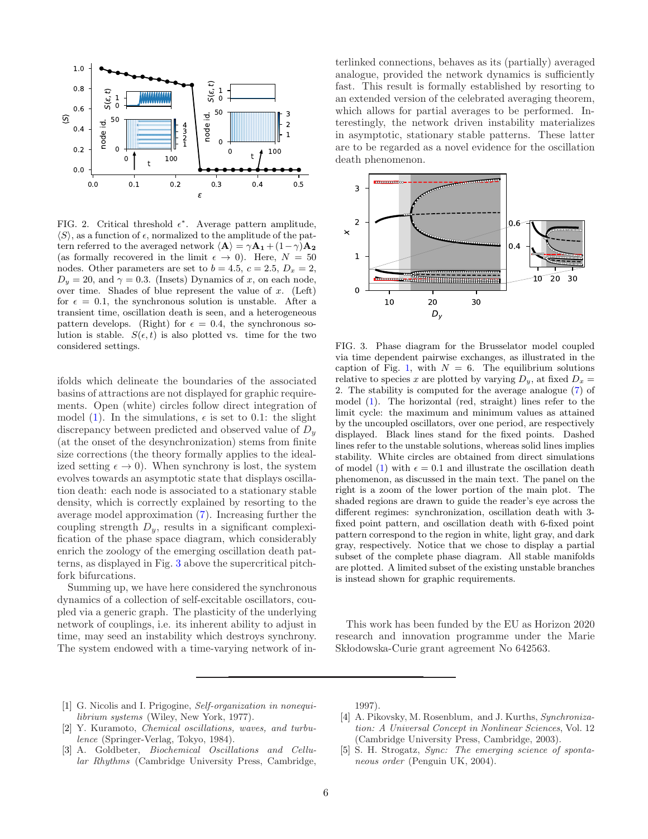

<span id="page-5-4"></span>FIG. 2. Critical threshold  $\epsilon^*$ . Average pattern amplitude,  $\langle S \rangle$ , as a function of  $\epsilon$ , normalized to the amplitude of the pattern referred to the averaged network  $\langle \mathbf{A} \rangle = \gamma \mathbf{A_1} + (1-\gamma)\mathbf{A_2}$ (as formally recovered in the limit  $\epsilon \to 0$ ). Here,  $N = 50$ nodes. Other parameters are set to  $b = 4.5$ ,  $c = 2.5$ ,  $D_x = 2$ ,  $D_y = 20$ , and  $\gamma = 0.3$ . (Insets) Dynamics of x, on each node, over time. Shades of blue represent the value of  $x$ . (Left) for  $\epsilon = 0.1$ , the synchronous solution is unstable. After a transient time, oscillation death is seen, and a heterogeneous pattern develops. (Right) for  $\epsilon = 0.4$ , the synchronous solution is stable.  $S(\epsilon, t)$  is also plotted vs. time for the two considered settings.

ifolds which delineate the boundaries of the associated basins of attractions are not displayed for graphic requirements. Open (white) circles follow direct integration of model [\(1\)](#page-1-0). In the simulations,  $\epsilon$  is set to 0.1: the slight discrepancy between predicted and observed value of  $D_u$ (at the onset of the desynchronization) stems from finite size corrections (the theory formally applies to the idealized setting  $\epsilon \to 0$ ). When synchrony is lost, the system evolves towards an asymptotic state that displays oscillation death: each node is associated to a stationary stable density, which is correctly explained by resorting to the average model approximation [\(7\)](#page-1-2). Increasing further the coupling strength  $D_y$ , results in a significant complexification of the phase space diagram, which considerably enrich the zoology of the emerging oscillation death patterns, as displayed in Fig. [3](#page-5-5) above the supercritical pitchfork bifurcations.

Summing up, we have here considered the synchronous dynamics of a collection of self-excitable oscillators, coupled via a generic graph. The plasticity of the underlying network of couplings, i.e. its inherent ability to adjust in time, may seed an instability which destroys synchrony. The system endowed with a time-varying network of in-

terlinked connections, behaves as its (partially) averaged analogue, provided the network dynamics is sufficiently fast. This result is formally established by resorting to an extended version of the celebrated averaging theorem, which allows for partial averages to be performed. Interestingly, the network driven instability materializes in asymptotic, stationary stable patterns. These latter are to be regarded as a novel evidence for the oscillation death phenomenon.



<span id="page-5-5"></span>FIG. 3. Phase diagram for the Brusselator model coupled via time dependent pairwise exchanges, as illustrated in the caption of Fig. [1,](#page-4-0) with  $N = 6$ . The equilibrium solutions relative to species x are plotted by varying  $D_y$ , at fixed  $D_x =$ 2. The stability is computed for the average analogue [\(7\)](#page-1-2) of model [\(1\)](#page-1-0). The horizontal (red, straight) lines refer to the limit cycle: the maximum and minimum values as attained by the uncoupled oscillators, over one period, are respectively displayed. Black lines stand for the fixed points. Dashed lines refer to the unstable solutions, whereas solid lines implies stability. White circles are obtained from direct simulations of model [\(1\)](#page-1-0) with  $\epsilon = 0.1$  and illustrate the oscillation death phenomenon, as discussed in the main text. The panel on the right is a zoom of the lower portion of the main plot. The shaded regions are drawn to guide the reader's eye across the different regimes: synchronization, oscillation death with 3 fixed point pattern, and oscillation death with 6-fixed point pattern correspond to the region in white, light gray, and dark gray, respectively. Notice that we chose to display a partial subset of the complete phase diagram. All stable manifolds are plotted. A limited subset of the existing unstable branches is instead shown for graphic requirements.

This work has been funded by the EU as Horizon 2020 research and innovation programme under the Marie Sk lodowska-Curie grant agreement No 642563.

- <span id="page-5-0"></span>[1] G. Nicolis and I. Prigogine, Self-organization in nonequilibrium systems (Wiley, New York, 1977).
- <span id="page-5-3"></span>[2] Y. Kuramoto, *Chemical oscillations*, waves, and turbulence (Springer-Verlag, Tokyo, 1984).
- [3] A. Goldbeter, Biochemical Oscillations and Cellular Rhythms (Cambridge University Press, Cambridge,

1997).

- <span id="page-5-2"></span>[4] A. Pikovsky, M. Rosenblum, and J. Kurths, Synchronization: A Universal Concept in Nonlinear Sciences, Vol. 12 (Cambridge University Press, Cambridge, 2003).
- <span id="page-5-1"></span>[5] S. H. Strogatz, Sync: The emerging science of spontaneous order (Penguin UK, 2004).